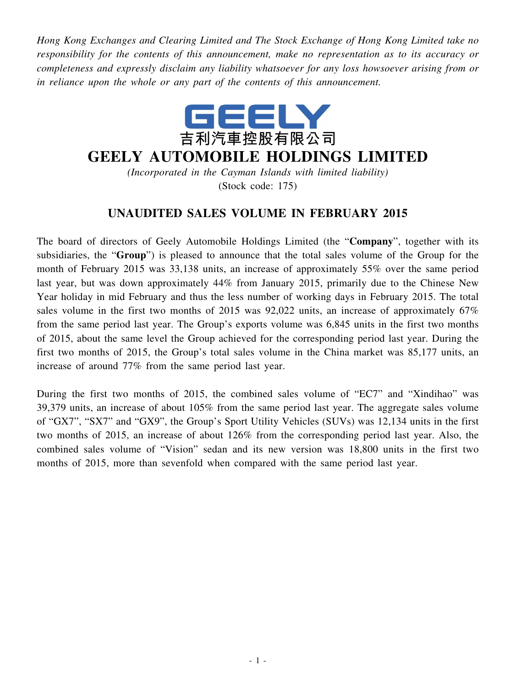*Hong Kong Exchanges and Clearing Limited and The Stock Exchange of Hong Kong Limited take no responsibility for the contents of this announcement, make no representation as to its accuracy or completeness and expressly disclaim any liability whatsoever for any loss howsoever arising from or in reliance upon the whole or any part of the contents of this announcement.*



## **GEELY AUTOMOBILE HOLDINGS LIMITED**

*(Incorporated in the Cayman Islands with limited liability)* (Stock code: 175)

## **UNAUDITED SALES VOLUME IN FEBRUARY 2015**

The board of directors of Geely Automobile Holdings Limited (the "**Company**", together with its subsidiaries, the "**Group**") is pleased to announce that the total sales volume of the Group for the month of February 2015 was 33,138 units, an increase of approximately 55% over the same period last year, but was down approximately 44% from January 2015, primarily due to the Chinese New Year holiday in mid February and thus the less number of working days in February 2015. The total sales volume in the first two months of 2015 was 92,022 units, an increase of approximately 67% from the same period last year. The Group's exports volume was 6,845 units in the first two months of 2015, about the same level the Group achieved for the corresponding period last year. During the first two months of 2015, the Group's total sales volume in the China market was 85,177 units, an increase of around 77% from the same period last year.

During the first two months of 2015, the combined sales volume of "EC7" and "Xindihao" was 39,379 units, an increase of about 105% from the same period last year. The aggregate sales volume of "GX7", "SX7" and "GX9", the Group's Sport Utility Vehicles (SUVs) was 12,134 units in the first two months of 2015, an increase of about 126% from the corresponding period last year. Also, the combined sales volume of "Vision" sedan and its new version was 18,800 units in the first two months of 2015, more than sevenfold when compared with the same period last year.